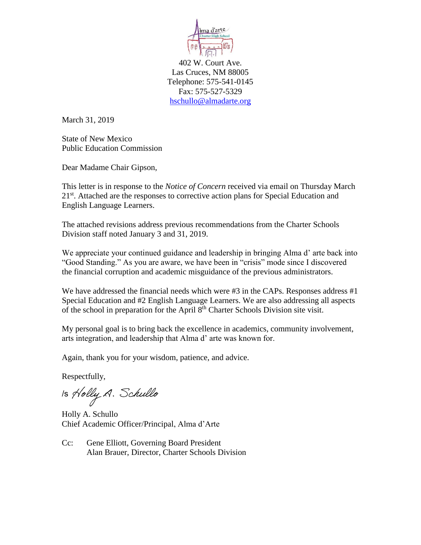

402 W. Court Ave. Las Cruces, NM 88005 Telephone: 575-541-0145 Fax: 575-527-5329 [hschullo@almadarte.org](mailto:hschullo@almadarte.org) 

March 31, 2019

State of New Mexico Public Education Commission

Dear Madame Chair Gipson,

This letter is in response to the *Notice of Concern* received via email on Thursday March 21<sup>st</sup>. Attached are the responses to corrective action plans for Special Education and English Language Learners.

The attached revisions address previous recommendations from the Charter Schools Division staff noted January 3 and 31, 2019.

We appreciate your continued guidance and leadership in bringing Alma d' arte back into "Good Standing." As you are aware, we have been in "crisis" mode since I discovered the financial corruption and academic misguidance of the previous administrators.

We have addressed the financial needs which were #3 in the CAPs. Responses address #1 Special Education and #2 English Language Learners. We are also addressing all aspects of the school in preparation for the April  $8<sup>th</sup>$  Charter Schools Division site visit.

My personal goal is to bring back the excellence in academics, community involvement, arts integration, and leadership that Alma d' arte was known for.

Again, thank you for your wisdom, patience, and advice.

Respectfully,

Is Holly A. Schullo

Holly A. Schullo Chief Academic Officer/Principal, Alma d'Arte

Cc: Gene Elliott, Governing Board President Alan Brauer, Director, Charter Schools Division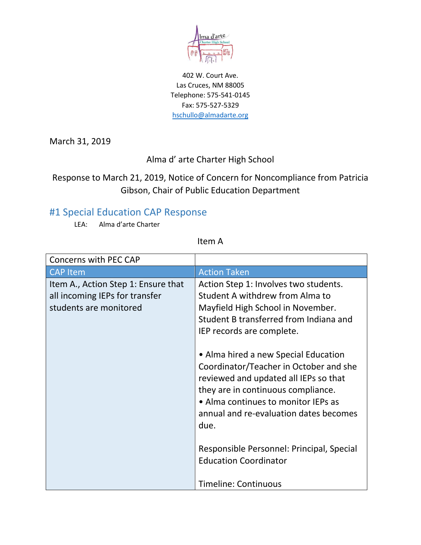

402 W. Court Ave. Las Cruces, NM 88005 Telephone: 575-541-0145 Fax: 575-527-5329 [hschullo@almadarte.org](mailto:hschullo@almadarte.org)

March 31, 2019

#### Alma d' arte Charter High School

## Response to March 21, 2019, Notice of Concern for Noncompliance from Patricia Gibson, Chair of Public Education Department

## #1 Special Education CAP Response

LEA: Alma d'arte Charter

Item A

| <b>Concerns with PEC CAP</b>                                                                    |                                                                                                                                                                                                                                                                                                                                                                                                                                                |
|-------------------------------------------------------------------------------------------------|------------------------------------------------------------------------------------------------------------------------------------------------------------------------------------------------------------------------------------------------------------------------------------------------------------------------------------------------------------------------------------------------------------------------------------------------|
| <b>CAP Item</b>                                                                                 | <b>Action Taken</b>                                                                                                                                                                                                                                                                                                                                                                                                                            |
| Item A., Action Step 1: Ensure that<br>all incoming IEPs for transfer<br>students are monitored | Action Step 1: Involves two students.<br>Student A withdrew from Alma to<br>Mayfield High School in November.<br>Student B transferred from Indiana and<br>IEP records are complete.<br>• Alma hired a new Special Education<br>Coordinator/Teacher in October and she<br>reviewed and updated all IEPs so that<br>they are in continuous compliance.<br>• Alma continues to monitor IEPs as<br>annual and re-evaluation dates becomes<br>due. |
|                                                                                                 | Responsible Personnel: Principal, Special<br><b>Education Coordinator</b><br><b>Timeline: Continuous</b>                                                                                                                                                                                                                                                                                                                                       |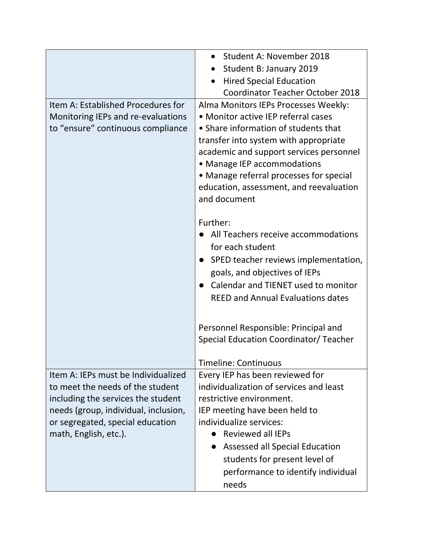|                                      | Student A: November 2018                 |
|--------------------------------------|------------------------------------------|
|                                      | Student B: January 2019                  |
|                                      | <b>Hired Special Education</b>           |
|                                      | <b>Coordinator Teacher October 2018</b>  |
| Item A: Established Procedures for   | Alma Monitors IEPs Processes Weekly:     |
| Monitoring IEPs and re-evaluations   | • Monitor active IEP referral cases      |
| to "ensure" continuous compliance    | • Share information of students that     |
|                                      | transfer into system with appropriate    |
|                                      | academic and support services personnel  |
|                                      | • Manage IEP accommodations              |
|                                      | • Manage referral processes for special  |
|                                      | education, assessment, and reevaluation  |
|                                      | and document                             |
|                                      | Further:                                 |
|                                      | All Teachers receive accommodations      |
|                                      | for each student                         |
|                                      |                                          |
|                                      | SPED teacher reviews implementation,     |
|                                      | goals, and objectives of IEPs            |
|                                      | Calendar and TIENET used to monitor      |
|                                      | <b>REED and Annual Evaluations dates</b> |
|                                      |                                          |
|                                      | Personnel Responsible: Principal and     |
|                                      | Special Education Coordinator/ Teacher   |
|                                      | <b>Timeline: Continuous</b>              |
| Item A: IEPs must be Individualized  | Every IEP has been reviewed for          |
| to meet the needs of the student     | individualization of services and least  |
| including the services the student   | restrictive environment.                 |
| needs (group, individual, inclusion, | IEP meeting have been held to            |
| or segregated, special education     | individualize services:                  |
| math, English, etc.).                | <b>Reviewed all IEPs</b>                 |
|                                      | Assessed all Special Education           |
|                                      | students for present level of            |
|                                      | performance to identify individual       |
|                                      | needs                                    |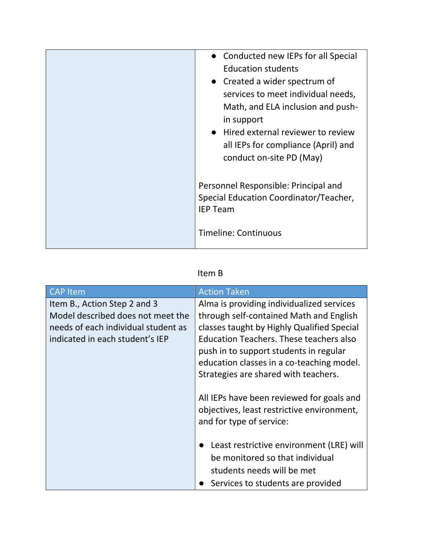| • Conducted new IEPs for all Special<br><b>Education students</b><br>• Created a wider spectrum of<br>services to meet individual needs,<br>Math, and ELA inclusion and push-<br>in support<br>• Hired external reviewer to review<br>all IEPs for compliance (April) and<br>conduct on-site PD (May) |
|-------------------------------------------------------------------------------------------------------------------------------------------------------------------------------------------------------------------------------------------------------------------------------------------------------|
| Personnel Responsible: Principal and<br>Special Education Coordinator/Teacher,<br><b>IEP Team</b><br><b>Timeline: Continuous</b>                                                                                                                                                                      |

## Item B

| <b>CAP</b> Item                                                                                                                             | <b>Action Taken</b>                                                                                                                                                                                                                                                                                                 |
|---------------------------------------------------------------------------------------------------------------------------------------------|---------------------------------------------------------------------------------------------------------------------------------------------------------------------------------------------------------------------------------------------------------------------------------------------------------------------|
| Item B., Action Step 2 and 3<br>Model described does not meet the<br>needs of each individual student as<br>indicated in each student's IEP | Alma is providing individualized services<br>through self-contained Math and English<br>classes taught by Highly Qualified Special<br><b>Education Teachers. These teachers also</b><br>push in to support students in regular<br>education classes in a co-teaching model.<br>Strategies are shared with teachers. |
|                                                                                                                                             | All IEPs have been reviewed for goals and<br>objectives, least restrictive environment,<br>and for type of service:                                                                                                                                                                                                 |
|                                                                                                                                             | Least restrictive environment (LRE) will<br>be monitored so that individual<br>students needs will be met<br>Services to students are provided                                                                                                                                                                      |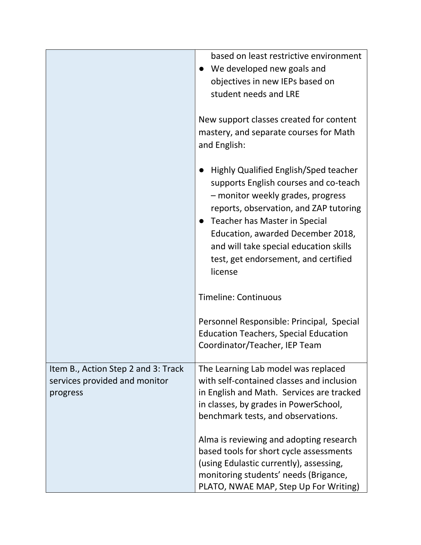|                                                                                  | based on least restrictive environment<br>We developed new goals and<br>objectives in new IEPs based on<br>student needs and LRE                                                                                                                                                                                                 |
|----------------------------------------------------------------------------------|----------------------------------------------------------------------------------------------------------------------------------------------------------------------------------------------------------------------------------------------------------------------------------------------------------------------------------|
|                                                                                  | New support classes created for content<br>mastery, and separate courses for Math<br>and English:                                                                                                                                                                                                                                |
|                                                                                  | Highly Qualified English/Sped teacher<br>supports English courses and co-teach<br>- monitor weekly grades, progress<br>reports, observation, and ZAP tutoring<br>Teacher has Master in Special<br>Education, awarded December 2018,<br>and will take special education skills<br>test, get endorsement, and certified<br>license |
|                                                                                  | <b>Timeline: Continuous</b>                                                                                                                                                                                                                                                                                                      |
|                                                                                  | Personnel Responsible: Principal, Special<br><b>Education Teachers, Special Education</b><br>Coordinator/Teacher, IEP Team                                                                                                                                                                                                       |
| Item B., Action Step 2 and 3: Track<br>services provided and monitor<br>progress | The Learning Lab model was replaced<br>with self-contained classes and inclusion<br>in English and Math. Services are tracked<br>in classes, by grades in PowerSchool,<br>benchmark tests, and observations.                                                                                                                     |
|                                                                                  | Alma is reviewing and adopting research<br>based tools for short cycle assessments<br>(using Edulastic currently), assessing,<br>monitoring students' needs (Brigance,<br>PLATO, NWAE MAP, Step Up For Writing)                                                                                                                  |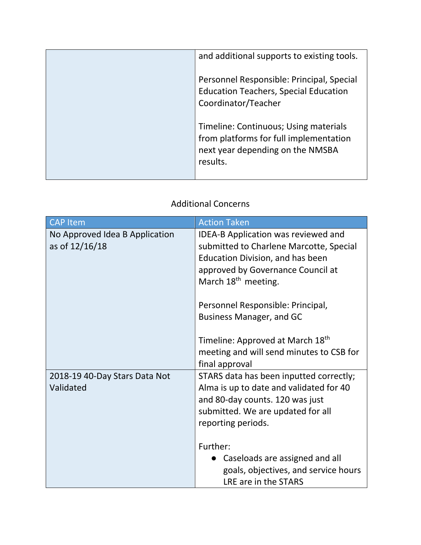| and additional supports to existing tools.                                                                          |
|---------------------------------------------------------------------------------------------------------------------|
|                                                                                                                     |
| Personnel Responsible: Principal, Special<br><b>Education Teachers, Special Education</b>                           |
| Timeline: Continuous; Using materials<br>from platforms for full implementation<br>next year depending on the NMSBA |
|                                                                                                                     |

#### Additional Concerns

| <b>CAP Item</b>                                  | <b>Action Taken</b>                                                                                                                                                                        |
|--------------------------------------------------|--------------------------------------------------------------------------------------------------------------------------------------------------------------------------------------------|
| No Approved Idea B Application<br>as of 12/16/18 | IDEA-B Application was reviewed and<br>submitted to Charlene Marcotte, Special<br>Education Division, and has been<br>approved by Governance Council at<br>March 18 <sup>th</sup> meeting. |
|                                                  | Personnel Responsible: Principal,<br><b>Business Manager, and GC</b>                                                                                                                       |
|                                                  | Timeline: Approved at March 18 <sup>th</sup><br>meeting and will send minutes to CSB for<br>final approval                                                                                 |
| 2018-19 40-Day Stars Data Not<br>Validated       | STARS data has been inputted correctly;<br>Alma is up to date and validated for 40<br>and 80-day counts. 120 was just<br>submitted. We are updated for all<br>reporting periods.           |
|                                                  | Further:<br>Caseloads are assigned and all<br>goals, objectives, and service hours<br>LRE are in the STARS                                                                                 |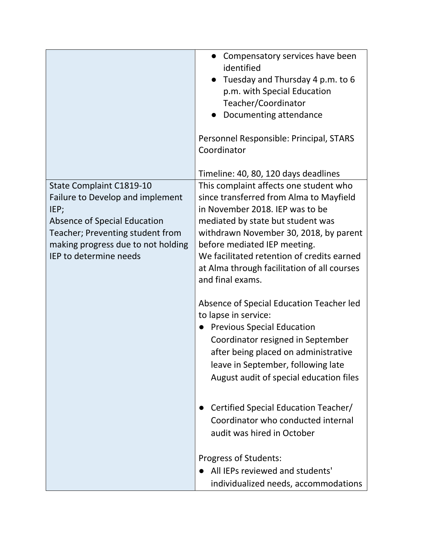|                                                                                                                                                                                                                 | Compensatory services have been<br>identified<br>Tuesday and Thursday 4 p.m. to 6<br>p.m. with Special Education<br>Teacher/Coordinator<br>Documenting attendance<br>Personnel Responsible: Principal, STARS<br>Coordinator<br>Timeline: 40, 80, 120 days deadlines                                                                                  |
|-----------------------------------------------------------------------------------------------------------------------------------------------------------------------------------------------------------------|------------------------------------------------------------------------------------------------------------------------------------------------------------------------------------------------------------------------------------------------------------------------------------------------------------------------------------------------------|
| State Complaint C1819-10<br>Failure to Develop and implement<br>IEP;<br><b>Absence of Special Education</b><br>Teacher; Preventing student from<br>making progress due to not holding<br>IEP to determine needs | This complaint affects one student who<br>since transferred from Alma to Mayfield<br>in November 2018. IEP was to be<br>mediated by state but student was<br>withdrawn November 30, 2018, by parent<br>before mediated IEP meeting.<br>We facilitated retention of credits earned<br>at Alma through facilitation of all courses<br>and final exams. |
|                                                                                                                                                                                                                 | Absence of Special Education Teacher led<br>to lapse in service:<br><b>Previous Special Education</b><br>Coordinator resigned in September<br>after being placed on administrative<br>leave in September, following late<br>August audit of special education files                                                                                  |
|                                                                                                                                                                                                                 | Certified Special Education Teacher/<br>Coordinator who conducted internal<br>audit was hired in October<br>Progress of Students:<br>All IEPs reviewed and students'<br>individualized needs, accommodations                                                                                                                                         |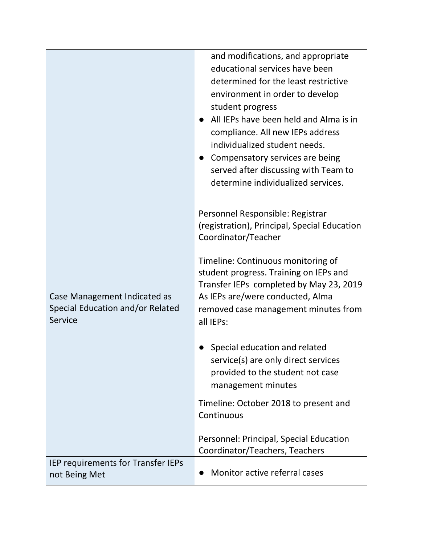|                                                     | and modifications, and appropriate<br>educational services have been       |
|-----------------------------------------------------|----------------------------------------------------------------------------|
|                                                     | determined for the least restrictive<br>environment in order to develop    |
|                                                     | student progress                                                           |
|                                                     | All IEPs have been held and Alma is in                                     |
|                                                     | compliance. All new IEPs address                                           |
|                                                     | individualized student needs.                                              |
|                                                     | Compensatory services are being                                            |
|                                                     | served after discussing with Team to<br>determine individualized services. |
|                                                     |                                                                            |
|                                                     | Personnel Responsible: Registrar                                           |
|                                                     | (registration), Principal, Special Education                               |
|                                                     | Coordinator/Teacher                                                        |
|                                                     | Timeline: Continuous monitoring of                                         |
|                                                     | student progress. Training on IEPs and                                     |
|                                                     | Transfer IEPs completed by May 23, 2019                                    |
| Case Management Indicated as                        | As IEPs are/were conducted, Alma                                           |
| Special Education and/or Related<br>Service         | removed case management minutes from<br>all IEPs:                          |
|                                                     |                                                                            |
|                                                     | Special education and related                                              |
|                                                     | service(s) are only direct services                                        |
|                                                     | provided to the student not case                                           |
|                                                     | management minutes                                                         |
|                                                     | Timeline: October 2018 to present and                                      |
|                                                     | Continuous                                                                 |
|                                                     | Personnel: Principal, Special Education                                    |
|                                                     | Coordinator/Teachers, Teachers                                             |
| IEP requirements for Transfer IEPs<br>not Being Met | Monitor active referral cases                                              |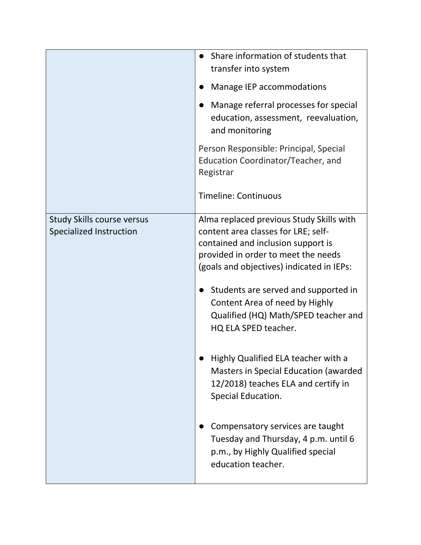|                                                              | Share information of students that<br>transfer into system<br>Manage IEP accommodations<br>Manage referral processes for special<br>education, assessment, reevaluation,<br>and monitoring<br>Person Responsible: Principal, Special<br>Education Coordinator/Teacher, and<br>Registrar<br><b>Timeline: Continuous</b>                                                                                                                                                                                                                                                                                                                  |
|--------------------------------------------------------------|-----------------------------------------------------------------------------------------------------------------------------------------------------------------------------------------------------------------------------------------------------------------------------------------------------------------------------------------------------------------------------------------------------------------------------------------------------------------------------------------------------------------------------------------------------------------------------------------------------------------------------------------|
| <b>Study Skills course versus</b><br>Specialized Instruction | Alma replaced previous Study Skills with<br>content area classes for LRE; self-<br>contained and inclusion support is<br>provided in order to meet the needs<br>(goals and objectives) indicated in IEPs:<br>Students are served and supported in<br>Content Area of need by Highly<br>Qualified (HQ) Math/SPED teacher and<br>HQ ELA SPED teacher.<br>Highly Qualified ELA teacher with a<br>Masters in Special Education (awarded<br>12/2018) teaches ELA and certify in<br>Special Education.<br>Compensatory services are taught<br>Tuesday and Thursday, 4 p.m. until 6<br>p.m., by Highly Qualified special<br>education teacher. |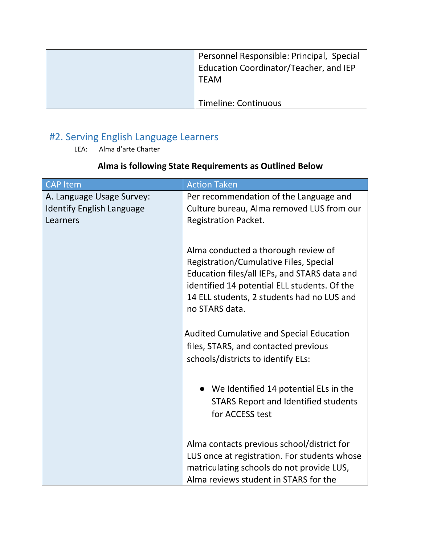| Personnel Responsible: Principal, Special<br>Education Coordinator/Teacher, and IEP<br><b>TEAM</b> |
|----------------------------------------------------------------------------------------------------|
| Timeline: Continuous                                                                               |

# #2. Serving English Language Learners

LEA: Alma d'arte Charter

## **Alma is following State Requirements as Outlined Below**

| <b>CAP Item</b>                                                           | <b>Action Taken</b>                                                                                                                                                                                                                           |
|---------------------------------------------------------------------------|-----------------------------------------------------------------------------------------------------------------------------------------------------------------------------------------------------------------------------------------------|
| A. Language Usage Survey:<br><b>Identify English Language</b><br>Learners | Per recommendation of the Language and<br>Culture bureau, Alma removed LUS from our<br><b>Registration Packet.</b>                                                                                                                            |
|                                                                           | Alma conducted a thorough review of<br>Registration/Cumulative Files, Special<br>Education files/all IEPs, and STARS data and<br>identified 14 potential ELL students. Of the<br>14 ELL students, 2 students had no LUS and<br>no STARS data. |
|                                                                           | <b>Audited Cumulative and Special Education</b><br>files, STARS, and contacted previous<br>schools/districts to identify ELs:                                                                                                                 |
|                                                                           | • We Identified 14 potential ELs in the<br><b>STARS Report and Identified students</b><br>for ACCESS test                                                                                                                                     |
|                                                                           | Alma contacts previous school/district for<br>LUS once at registration. For students whose<br>matriculating schools do not provide LUS,<br>Alma reviews student in STARS for the                                                              |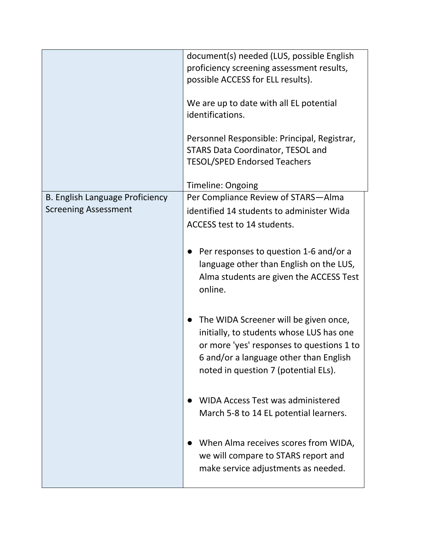|                                 | document(s) needed (LUS, possible English<br>proficiency screening assessment results,<br>possible ACCESS for ELL results).                                                                                      |
|---------------------------------|------------------------------------------------------------------------------------------------------------------------------------------------------------------------------------------------------------------|
|                                 | We are up to date with all EL potential<br>identifications.                                                                                                                                                      |
|                                 | Personnel Responsible: Principal, Registrar,<br><b>STARS Data Coordinator, TESOL and</b><br><b>TESOL/SPED Endorsed Teachers</b>                                                                                  |
|                                 | <b>Timeline: Ongoing</b>                                                                                                                                                                                         |
| B. English Language Proficiency | Per Compliance Review of STARS-Alma                                                                                                                                                                              |
| <b>Screening Assessment</b>     | identified 14 students to administer Wida                                                                                                                                                                        |
|                                 | ACCESS test to 14 students.                                                                                                                                                                                      |
|                                 | Per responses to question 1-6 and/or a<br>language other than English on the LUS,<br>Alma students are given the ACCESS Test<br>online.                                                                          |
|                                 | The WIDA Screener will be given once,<br>initially, to students whose LUS has one<br>or more 'yes' responses to questions 1 to<br>6 and/or a language other than English<br>noted in question 7 (potential ELs). |
|                                 | <b>WIDA Access Test was administered</b><br>March 5-8 to 14 EL potential learners.                                                                                                                               |
|                                 | When Alma receives scores from WIDA,<br>we will compare to STARS report and<br>make service adjustments as needed.                                                                                               |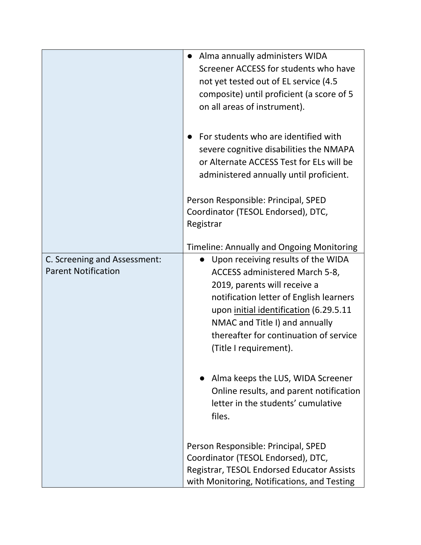|                                                            | • Alma annually administers WIDA<br>Screener ACCESS for students who have<br>not yet tested out of EL service (4.5<br>composite) until proficient (a score of 5<br>on all areas of instrument).                                                                                                 |
|------------------------------------------------------------|-------------------------------------------------------------------------------------------------------------------------------------------------------------------------------------------------------------------------------------------------------------------------------------------------|
|                                                            | For students who are identified with<br>severe cognitive disabilities the NMAPA<br>or Alternate ACCESS Test for ELs will be<br>administered annually until proficient.                                                                                                                          |
|                                                            | Person Responsible: Principal, SPED<br>Coordinator (TESOL Endorsed), DTC,<br>Registrar                                                                                                                                                                                                          |
|                                                            | Timeline: Annually and Ongoing Monitoring                                                                                                                                                                                                                                                       |
| C. Screening and Assessment:<br><b>Parent Notification</b> | Upon receiving results of the WIDA<br>ACCESS administered March 5-8,<br>2019, parents will receive a<br>notification letter of English learners<br>upon initial identification (6.29.5.11<br>NMAC and Title I) and annually<br>thereafter for continuation of service<br>(Title I requirement). |
|                                                            | Alma keeps the LUS, WIDA Screener<br>Online results, and parent notification<br>letter in the students' cumulative<br>files.                                                                                                                                                                    |
|                                                            | Person Responsible: Principal, SPED<br>Coordinator (TESOL Endorsed), DTC,<br>Registrar, TESOL Endorsed Educator Assists<br>with Monitoring, Notifications, and Testing                                                                                                                          |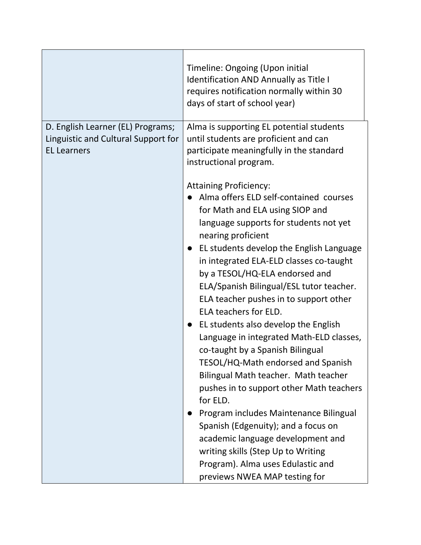|                                                                                                | Timeline: Ongoing (Upon initial<br>Identification AND Annually as Title I<br>requires notification normally within 30<br>days of start of school year)                                                                                                                                                                                                                                                                                                                                                                                                                                                                                                                                                                                                                                                                                                                                                             |
|------------------------------------------------------------------------------------------------|--------------------------------------------------------------------------------------------------------------------------------------------------------------------------------------------------------------------------------------------------------------------------------------------------------------------------------------------------------------------------------------------------------------------------------------------------------------------------------------------------------------------------------------------------------------------------------------------------------------------------------------------------------------------------------------------------------------------------------------------------------------------------------------------------------------------------------------------------------------------------------------------------------------------|
| D. English Learner (EL) Programs;<br>Linguistic and Cultural Support for<br><b>EL Learners</b> | Alma is supporting EL potential students<br>until students are proficient and can<br>participate meaningfully in the standard<br>instructional program.                                                                                                                                                                                                                                                                                                                                                                                                                                                                                                                                                                                                                                                                                                                                                            |
|                                                                                                | <b>Attaining Proficiency:</b><br>Alma offers ELD self-contained courses<br>for Math and ELA using SIOP and<br>language supports for students not yet<br>nearing proficient<br>EL students develop the English Language<br>in integrated ELA-ELD classes co-taught<br>by a TESOL/HQ-ELA endorsed and<br>ELA/Spanish Bilingual/ESL tutor teacher.<br>ELA teacher pushes in to support other<br>ELA teachers for ELD.<br>EL students also develop the English<br>Language in integrated Math-ELD classes,<br>co-taught by a Spanish Bilingual<br>TESOL/HQ-Math endorsed and Spanish<br>Bilingual Math teacher. Math teacher<br>pushes in to support other Math teachers<br>for ELD.<br>Program includes Maintenance Bilingual<br>Spanish (Edgenuity); and a focus on<br>academic language development and<br>writing skills (Step Up to Writing<br>Program). Alma uses Edulastic and<br>previews NWEA MAP testing for |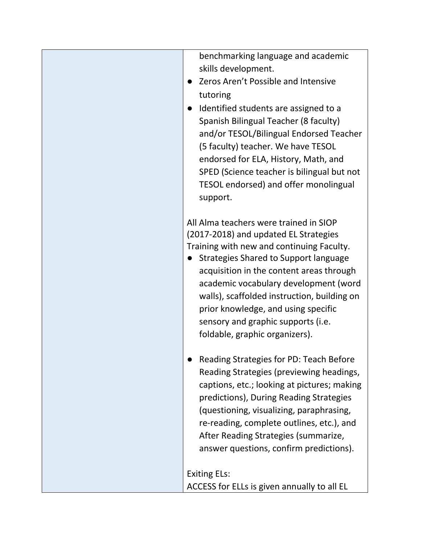| benchmarking language and academic<br>skills development.<br>Zeros Aren't Possible and Intensive<br>tutoring<br>Identified students are assigned to a<br>Spanish Bilingual Teacher (8 faculty)<br>and/or TESOL/Bilingual Endorsed Teacher<br>(5 faculty) teacher. We have TESOL                                                                                                                                          |
|--------------------------------------------------------------------------------------------------------------------------------------------------------------------------------------------------------------------------------------------------------------------------------------------------------------------------------------------------------------------------------------------------------------------------|
| endorsed for ELA, History, Math, and<br>SPED (Science teacher is bilingual but not<br>TESOL endorsed) and offer monolingual<br>support.                                                                                                                                                                                                                                                                                  |
| All Alma teachers were trained in SIOP<br>(2017-2018) and updated EL Strategies<br>Training with new and continuing Faculty.<br>Strategies Shared to Support language<br>acquisition in the content areas through<br>academic vocabulary development (word<br>walls), scaffolded instruction, building on<br>prior knowledge, and using specific<br>sensory and graphic supports (i.e.<br>foldable, graphic organizers). |
| Reading Strategies for PD: Teach Before<br>Reading Strategies (previewing headings,<br>captions, etc.; looking at pictures; making<br>predictions), During Reading Strategies<br>(questioning, visualizing, paraphrasing,<br>re-reading, complete outlines, etc.), and<br>After Reading Strategies (summarize,<br>answer questions, confirm predictions).                                                                |
| <b>Exiting ELs:</b><br>ACCESS for ELLs is given annually to all EL                                                                                                                                                                                                                                                                                                                                                       |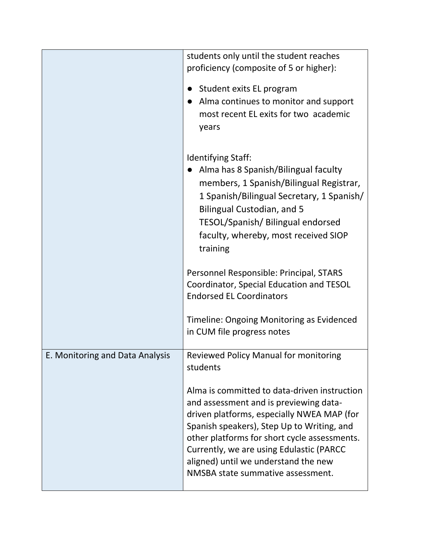|                                 | students only until the student reaches<br>proficiency (composite of 5 or higher):                                                                                                                                                                                                                                                                          |
|---------------------------------|-------------------------------------------------------------------------------------------------------------------------------------------------------------------------------------------------------------------------------------------------------------------------------------------------------------------------------------------------------------|
|                                 | Student exits EL program<br>Alma continues to monitor and support<br>most recent EL exits for two academic<br>years                                                                                                                                                                                                                                         |
|                                 | Identifying Staff:<br>Alma has 8 Spanish/Bilingual faculty<br>members, 1 Spanish/Bilingual Registrar,<br>1 Spanish/Bilingual Secretary, 1 Spanish/<br><b>Bilingual Custodian, and 5</b><br>TESOL/Spanish/ Bilingual endorsed<br>faculty, whereby, most received SIOP<br>training                                                                            |
|                                 | Personnel Responsible: Principal, STARS<br>Coordinator, Special Education and TESOL<br><b>Endorsed EL Coordinators</b>                                                                                                                                                                                                                                      |
|                                 | Timeline: Ongoing Monitoring as Evidenced<br>in CUM file progress notes                                                                                                                                                                                                                                                                                     |
| E. Monitoring and Data Analysis | <b>Reviewed Policy Manual for monitoring</b><br>students                                                                                                                                                                                                                                                                                                    |
|                                 | Alma is committed to data-driven instruction<br>and assessment and is previewing data-<br>driven platforms, especially NWEA MAP (for<br>Spanish speakers), Step Up to Writing, and<br>other platforms for short cycle assessments.<br>Currently, we are using Edulastic (PARCC<br>aligned) until we understand the new<br>NMSBA state summative assessment. |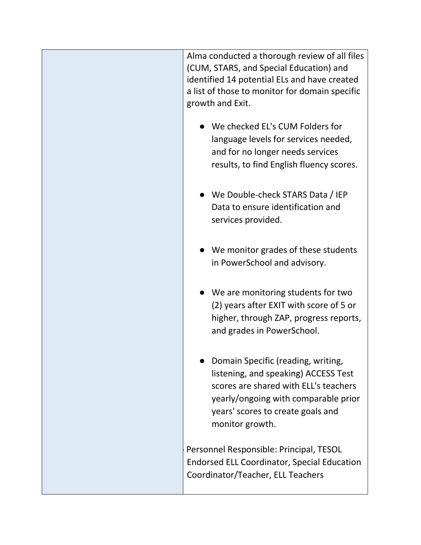| Alma conducted a thorough review of all files<br>(CUM, STARS, and Special Education) and<br>identified 14 potential ELs and have created<br>a list of those to monitor for domain specific<br>growth and Exit.      |
|---------------------------------------------------------------------------------------------------------------------------------------------------------------------------------------------------------------------|
| We checked EL's CUM Folders for<br>language levels for services needed,<br>and for no longer needs services<br>results, to find English fluency scores.                                                             |
| We Double-check STARS Data / IEP<br>Data to ensure identification and<br>services provided.                                                                                                                         |
| We monitor grades of these students<br>in PowerSchool and advisory.                                                                                                                                                 |
| We are monitoring students for two<br>(2) years after EXIT with score of 5 or<br>higher, through ZAP, progress reports,<br>and grades in PowerSchool.                                                               |
| Domain Specific (reading, writing,<br>listening, and speaking) ACCESS Test<br>scores are shared with ELL's teachers<br>yearly/ongoing with comparable prior<br>years' scores to create goals and<br>monitor growth. |
| Personnel Responsible: Principal, TESOL<br><b>Endorsed ELL Coordinator, Special Education</b><br>Coordinator/Teacher, ELL Teachers                                                                                  |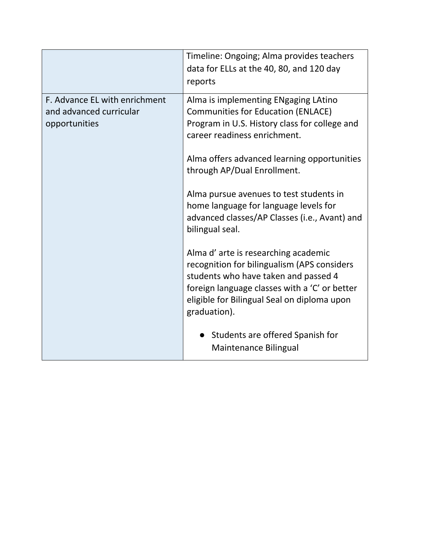|                                                                           | Timeline: Ongoing; Alma provides teachers<br>data for ELLs at the 40, 80, and 120 day<br>reports                                                                                                                                           |
|---------------------------------------------------------------------------|--------------------------------------------------------------------------------------------------------------------------------------------------------------------------------------------------------------------------------------------|
| F. Advance EL with enrichment<br>and advanced curricular<br>opportunities | Alma is implementing ENgaging LAtino<br><b>Communities for Education (ENLACE)</b><br>Program in U.S. History class for college and<br>career readiness enrichment.                                                                         |
|                                                                           | Alma offers advanced learning opportunities<br>through AP/Dual Enrollment.                                                                                                                                                                 |
|                                                                           | Alma pursue avenues to test students in<br>home language for language levels for<br>advanced classes/AP Classes (i.e., Avant) and<br>bilingual seal.                                                                                       |
|                                                                           | Alma d'arte is researching academic<br>recognition for bilingualism (APS considers<br>students who have taken and passed 4<br>foreign language classes with a 'C' or better<br>eligible for Bilingual Seal on diploma upon<br>graduation). |
|                                                                           | Students are offered Spanish for<br>Maintenance Bilingual                                                                                                                                                                                  |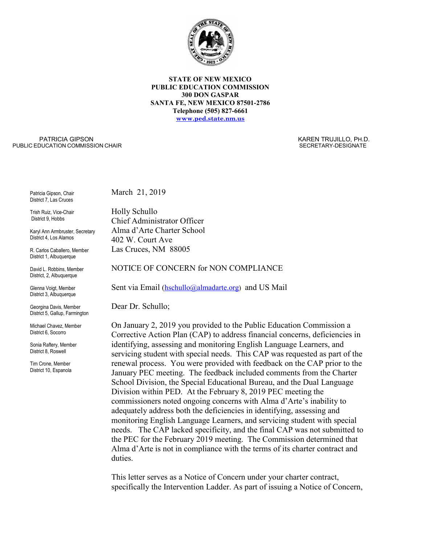

**STATE OF NEW MEXICO PUBLIC EDUCATION COMMISSION 300 DON GASPAR SANTA FE, NEW MEXICO 87501-2786 Telephone (505) 827-6661 [www.ped.state.nm.us](http://www.sde.state.nm.us/)**

PATRICIA GIPSON PUBLIC EDUCATION COMMISSION CHAIR  KAREN TRUJILLO, PH.D. SECRETARY-DESIGNATE

Patricia Gipson, Chair District 7, Las Cruces

Trish Ruiz, Vice-Chair District 9, Hobbs

Karyl Ann Armbruster, Secretary District 4, Los Alamos

R. Carlos Caballero, Member District 1, Albuquerque

David L. Robbins, Member District, 2, Albuquerque

Glenna Voigt, Member District 3, Albuquerque

Georgina Davis, Member District 5, Gallup, Farmington

Michael Chavez, Member District 6, Socorro

Sonia Raftery, Member District 8, Roswell

Tim Crone, Member District 10, Espanola March 21, 2019

Holly Schullo Chief Administrator Officer Alma d'Arte Charter School 402 W. Court Ave Las Cruces, NM 88005

NOTICE OF CONCERN for NON COMPLIANCE

Sent via Email [\(hschullo@almadarte.org\)](https://www.almadarte.org/about-alma/faculty-and-staff/%E2%80%9Dmailto:hschullo@almadarte.org%22) and US Mail

Dear Dr. Schullo;

On January 2, 2019 you provided to the Public Education Commission a Corrective Action Plan (CAP) to address financial concerns, deficiencies in identifying, assessing and monitoring English Language Learners, and servicing student with special needs. This CAP was requested as part of the renewal process. You were provided with feedback on the CAP prior to the January PEC meeting. The feedback included comments from the Charter School Division, the Special Educational Bureau, and the Dual Language Division within PED. At the February 8, 2019 PEC meeting the commissioners noted ongoing concerns with Alma d'Arte's inability to adequately address both the deficiencies in identifying, assessing and monitoring English Language Learners, and servicing student with special needs. The CAP lacked specificity, and the final CAP was not submitted to the PEC for the February 2019 meeting. The Commission determined that Alma d'Arte is not in compliance with the terms of its charter contract and duties.

This letter serves as a Notice of Concern under your charter contract, specifically the Intervention Ladder. As part of issuing a Notice of Concern,